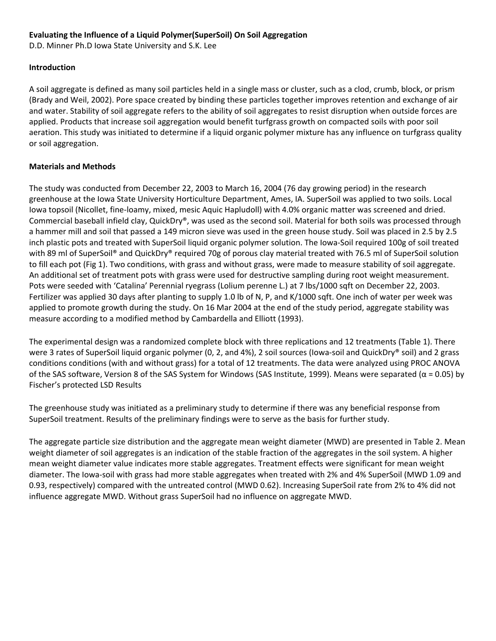### **Evaluating the Influence of a Liquid Polymer(SuperSoil) On Soil Aggregation**

D.D. Minner Ph.D Iowa State University and S.K. Lee

#### **Introduction**

A soil aggregate is defined as many soil particles held in a single mass or cluster, such as a clod, crumb, block, or prism (Brady and Weil, 2002). Pore space created by binding these particles together improves retention and exchange of air and water. Stability of soil aggregate refers to the ability of soil aggregates to resist disruption when outside forces are applied. Products that increase soil aggregation would benefit turfgrass growth on compacted soils with poor soil aeration. This study was initiated to determine if a liquid organic polymer mixture has any influence on turfgrass quality or soil aggregation.

# **Materials and Methods**

The study was conducted from December 22, 2003 to March 16, 2004 (76 day growing period) in the research greenhouse at the Iowa State University Horticulture Department, Ames, IA. SuperSoil was applied to two soils. Local Iowa topsoil (Nicollet, fine‐loamy, mixed, mesic Aquic Hapludoll) with 4.0% organic matter was screened and dried. Commercial baseball infield clay, QuickDry®, was used as the second soil. Material for both soils was processed through a hammer mill and soil that passed a 149 micron sieve was used in the green house study. Soil was placed in 2.5 by 2.5 inch plastic pots and treated with SuperSoil liquid organic polymer solution. The Iowa‐Soil required 100g of soil treated with 89 ml of SuperSoil<sup>®</sup> and QuickDry<sup>®</sup> required 70g of porous clay material treated with 76.5 ml of SuperSoil solution to fill each pot (Fig 1). Two conditions, with grass and without grass, were made to measure stability of soil aggregate. An additional set of treatment pots with grass were used for destructive sampling during root weight measurement. Pots were seeded with 'Catalina' Perennial ryegrass (Lolium perenne L.) at 7 lbs/1000 sqft on December 22, 2003. Fertilizer was applied 30 days after planting to supply 1.0 lb of N, P, and K/1000 sqft. One inch of water per week was applied to promote growth during the study. On 16 Mar 2004 at the end of the study period, aggregate stability was measure according to a modified method by Cambardella and Elliott (1993).

The experimental design was a randomized complete block with three replications and 12 treatments (Table 1). There were 3 rates of SuperSoil liquid organic polymer (0, 2, and 4%), 2 soil sources (Iowa-soil and QuickDry® soil) and 2 grass conditions conditions (with and without grass) for a total of 12 treatments. The data were analyzed using PROC ANOVA of the SAS software, Version 8 of the SAS System for Windows (SAS Institute, 1999). Means were separated ( $α = 0.05$ ) by Fischer's protected LSD Results

The greenhouse study was initiated as a preliminary study to determine if there was any beneficial response from SuperSoil treatment. Results of the preliminary findings were to serve as the basis for further study.

The aggregate particle size distribution and the aggregate mean weight diameter (MWD) are presented in Table 2. Mean weight diameter of soil aggregates is an indication of the stable fraction of the aggregates in the soil system. A higher mean weight diameter value indicates more stable aggregates. Treatment effects were significant for mean weight diameter. The Iowa‐soil with grass had more stable aggregates when treated with 2% and 4% SuperSoil (MWD 1.09 and 0.93, respectively) compared with the untreated control (MWD 0.62). Increasing SuperSoil rate from 2% to 4% did not influence aggregate MWD. Without grass SuperSoil had no influence on aggregate MWD.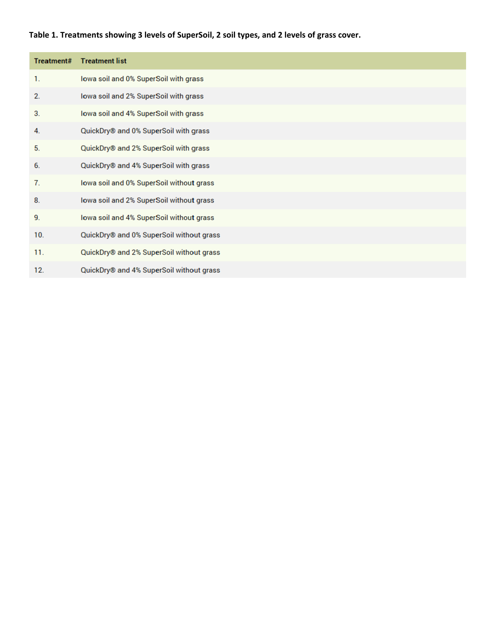# **Table 1. Treatments showing 3 levels of SuperSoil, 2 soil types, and 2 levels of grass cover.**

| Treatment# | <b>Treatment list</b>                    |
|------------|------------------------------------------|
| 1.         | lowa soil and 0% SuperSoil with grass    |
| 2.         | lowa soil and 2% SuperSoil with grass    |
| 3.         | lowa soil and 4% SuperSoil with grass    |
| 4.         | QuickDry® and 0% SuperSoil with grass    |
| 5.         | QuickDry® and 2% SuperSoil with grass    |
| 6.         | QuickDry® and 4% SuperSoil with grass    |
| 7.         | lowa soil and 0% SuperSoil without grass |
| 8.         | lowa soil and 2% SuperSoil without grass |
| 9.         | lowa soil and 4% SuperSoil without grass |
| 10.        | QuickDry® and 0% SuperSoil without grass |
| 11.        | QuickDry® and 2% SuperSoil without grass |
| 12.        | QuickDry® and 4% SuperSoil without grass |